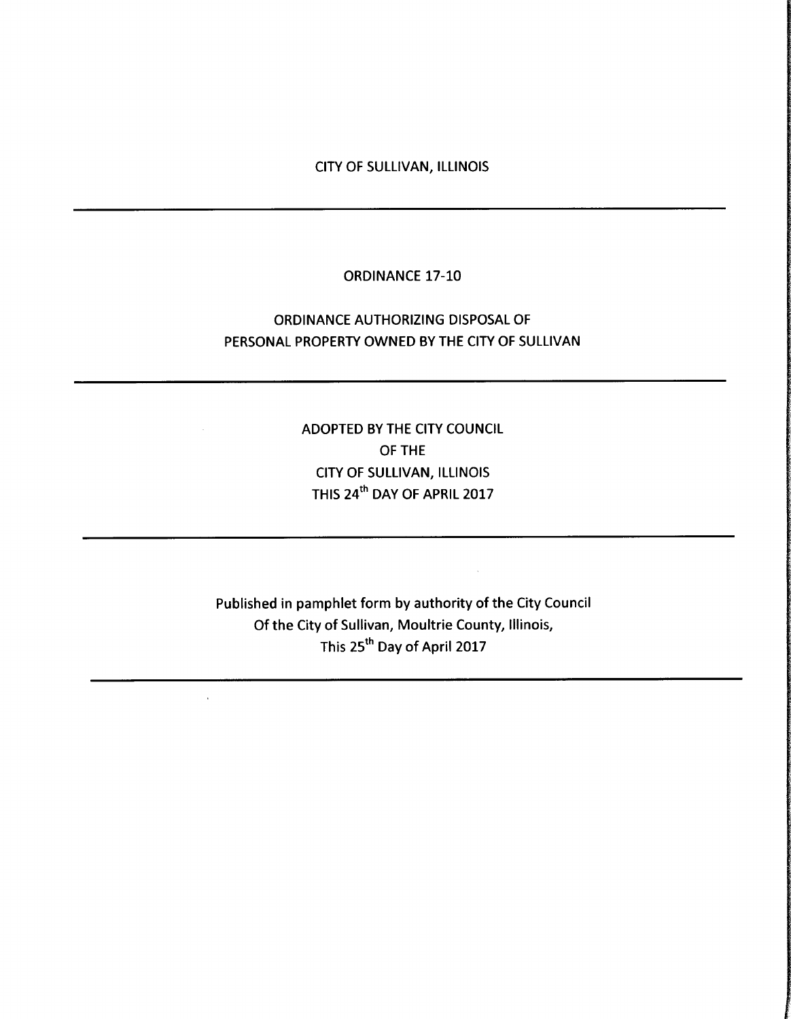CITY OF SULLIVAN, ILLINOIS

#### ORDINANCE 17-10

# ORDINANCE AUTHORIZING DISPOSAL OF PERSONAL PROPERTY OWNED BY THE CITY OF SULLIVAN

# ADOPTED BY THE CITY COUNCIL OF THE CITY OF SULLIVAN, ILLINOIS THIS 24" DAY OF APRIL 2017

Published in pamphlet form by authority of the City Council Of the City of Sullivan, Moultrie County, Illinois, This 25<sup>th</sup> Day of April 2017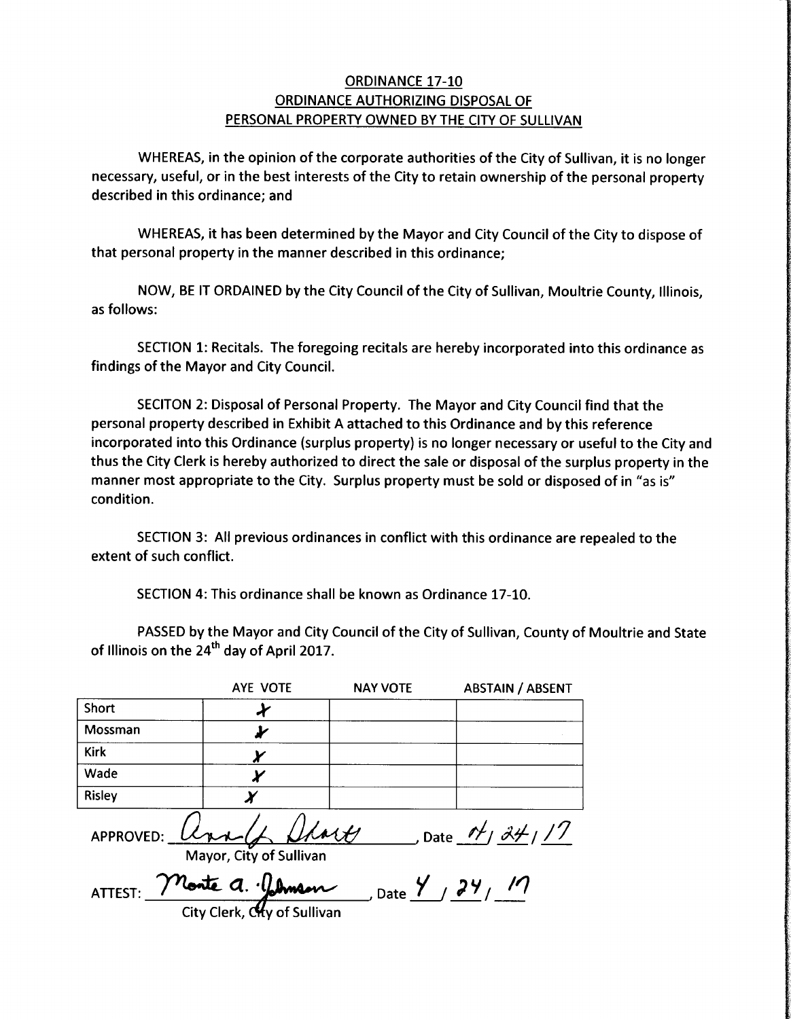### ORDINANCE 17-10 ORDINANCE AUTHORIZING DISPOSAL OF PERSONAL PROPERTY OWNED BY THE CITY OF SULLIVAN

WHEREAS, in the opinion of the corporate authorities of the City of Sullivan, it is no longer necessary, useful, or in the best interests of the City to retain ownership of the personal property described in this ordinance; and

WHEREAS, it has been determined by the Mayor and City Council of the City to dispose of that personal property in the manner described in this ordinance;

NOW, BE IT ORDAINED by the City Council of the City of Sullivan, Moultrie County, Illinois, as follows:

SECTION 1: Recitals. The foregoing recitals are hereby incorporated into this ordinance as findings of the Mayor and City Council.

SECITON 2: Disposal of Personal Property. The Mayor and City Council find that the personal property described in Exhibit A attached to this Ordinance and by this reference incorporated into this Ordinance (surplus property) is no longer necessary or useful to the City and thus the City Clerk is hereby authorized to direct the sale or disposal of the surplus property in the manner most appropriate to the City. Surplus property must be sold or disposed of in "as is" condition.

SECTION 3: All previous ordinances in conflict with this ordinance are repealed to the extent of such conflict.

SECTION 4: This ordinance shall be known as Ordinance 17-10.

PASSED by the Mayor and City Council of the City of Sullivan, County of Moultrie and State of Illinois on the 24<sup>th</sup> day of April 2017.

|               | AYE VOTE                                         | <b>NAY VOTE</b> | <b>ABSTAIN / ABSENT</b> |
|---------------|--------------------------------------------------|-----------------|-------------------------|
| <b>Short</b>  |                                                  |                 |                         |
| Mossman       |                                                  |                 |                         |
| <b>Kirk</b>   |                                                  |                 |                         |
| Wade          |                                                  |                 |                         |
| <b>Risley</b> |                                                  |                 |                         |
| APPROVED:     | Mayor, City of Sullivan                          | Unit            | Date $\frac{af}{341}/7$ |
| ATTEST:       | nonte a. l                                       |                 | Date Y , 24, 17         |
|               | $C$ ity $C$ lark $d$ <sub>k a</sub> f $C$ ullive |                 |                         |

City Clerk, City of Sullivan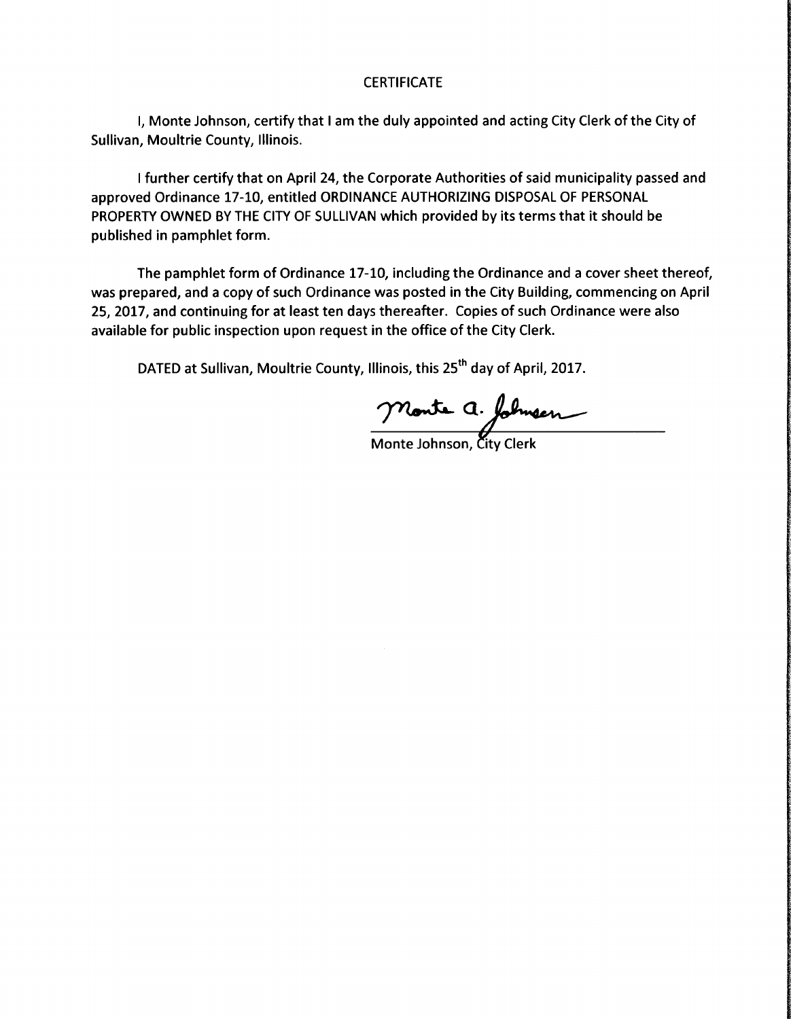#### **CERTIFICATE**

I, Monte Johnson, certify that <sup>I</sup> am the duly appointed and acting City Clerk of the City of Sullivan, Moultrie County, Illinois.

<sup>I</sup> further certify that on April 24, the Corporate Authorities of said municipality passed and approved Ordinance 17-10, entitled ORDINANCE AUTHORIZING DISPOSAL OF PERSONAL PROPERTY OWNED BY THE CITY OF SULLIVAN which provided by its terms that it should be published in pamphlet form.

The pamphlet form of Ordinance 17-10, including the Ordinance and a cover sheet thereof, was prepared, and <sup>a</sup> copy of such Ordinance was posted in the City Building, commencing on April 25, 2017, and continuing for at least ten days thereafter. Copies of such Ordinance were also available for public inspection upon request in the office of the City Clerk.

DATED at Sullivan, Moultrie County, Illinois, this 25<sup>th</sup> day of April, 2017.

Monte a. folmeen